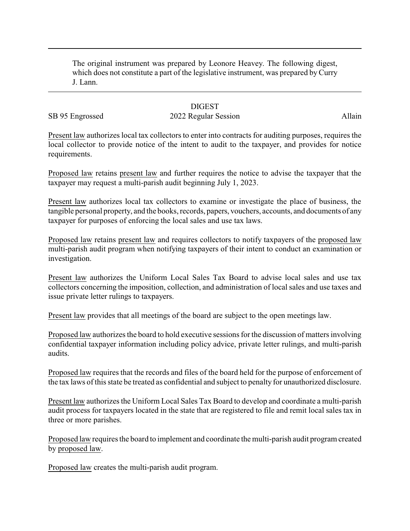The original instrument was prepared by Leonore Heavey. The following digest, which does not constitute a part of the legislative instrument, was prepared by Curry J. Lann.

## **DIGEST**

## SB 95 Engrossed 2022 Regular Session Allain

Present law authorizes local tax collectors to enter into contracts for auditing purposes, requires the local collector to provide notice of the intent to audit to the taxpayer, and provides for notice requirements.

Proposed law retains present law and further requires the notice to advise the taxpayer that the taxpayer may request a multi-parish audit beginning July 1, 2023.

Present law authorizes local tax collectors to examine or investigate the place of business, the tangible personal property, and the books, records, papers, vouchers, accounts, and documents of any taxpayer for purposes of enforcing the local sales and use tax laws.

Proposed law retains present law and requires collectors to notify taxpayers of the proposed law multi-parish audit program when notifying taxpayers of their intent to conduct an examination or investigation.

Present law authorizes the Uniform Local Sales Tax Board to advise local sales and use tax collectors concerning the imposition, collection, and administration of local sales and use taxes and issue private letter rulings to taxpayers.

Present law provides that all meetings of the board are subject to the open meetings law.

Proposed law authorizes the board to hold executive sessions for the discussion of matters involving confidential taxpayer information including policy advice, private letter rulings, and multi-parish audits.

Proposed law requires that the records and files of the board held for the purpose of enforcement of the tax laws of this state be treated as confidential and subject to penalty for unauthorized disclosure.

Present law authorizes the Uniform Local Sales Tax Board to develop and coordinate a multi-parish audit process for taxpayers located in the state that are registered to file and remit local sales tax in three or more parishes.

Proposed law requires the board to implement and coordinate the multi-parish audit program created by proposed law.

Proposed law creates the multi-parish audit program.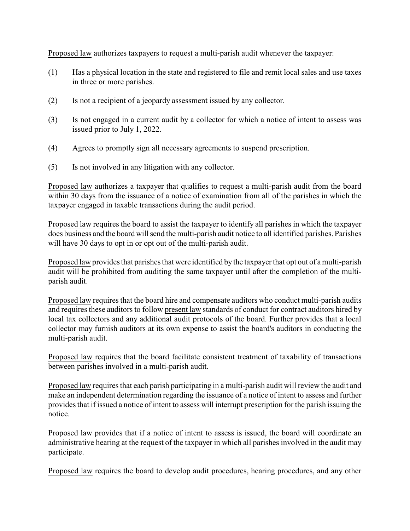Proposed law authorizes taxpayers to request a multi-parish audit whenever the taxpayer:

- (1) Has a physical location in the state and registered to file and remit local sales and use taxes in three or more parishes.
- (2) Is not a recipient of a jeopardy assessment issued by any collector.
- (3) Is not engaged in a current audit by a collector for which a notice of intent to assess was issued prior to July 1, 2022.
- (4) Agrees to promptly sign all necessary agreements to suspend prescription.
- (5) Is not involved in any litigation with any collector.

Proposed law authorizes a taxpayer that qualifies to request a multi-parish audit from the board within 30 days from the issuance of a notice of examination from all of the parishes in which the taxpayer engaged in taxable transactions during the audit period.

Proposed law requires the board to assist the taxpayer to identify all parishes in which the taxpayer does business and the board will send the multi-parish audit notice to all identified parishes. Parishes will have 30 days to opt in or opt out of the multi-parish audit.

Proposed law provides that parishes that were identified by the taxpayer that opt out of a multi-parish audit will be prohibited from auditing the same taxpayer until after the completion of the multiparish audit.

Proposed law requires that the board hire and compensate auditors who conduct multi-parish audits and requires these auditors to follow present law standards of conduct for contract auditors hired by local tax collectors and any additional audit protocols of the board. Further provides that a local collector may furnish auditors at its own expense to assist the board's auditors in conducting the multi-parish audit.

Proposed law requires that the board facilitate consistent treatment of taxability of transactions between parishes involved in a multi-parish audit.

Proposed law requires that each parish participating in a multi-parish audit will review the audit and make an independent determination regarding the issuance of a notice of intent to assess and further provides that if issued a notice of intent to assess will interrupt prescription for the parish issuing the notice.

Proposed law provides that if a notice of intent to assess is issued, the board will coordinate an administrative hearing at the request of the taxpayer in which all parishes involved in the audit may participate.

Proposed law requires the board to develop audit procedures, hearing procedures, and any other